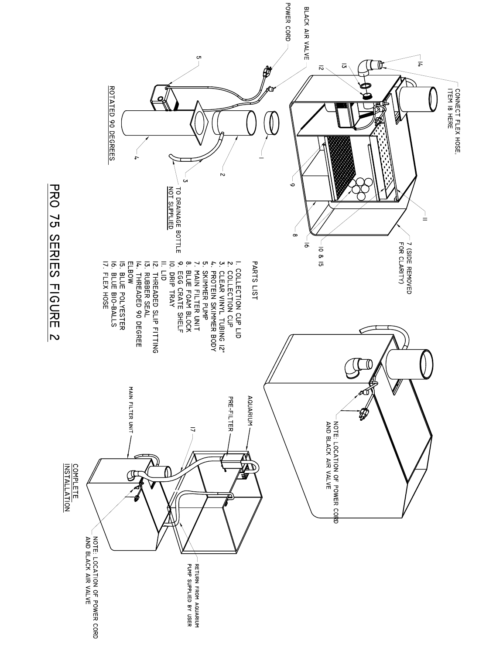

**PRO 75 SERIES FIGURE 2**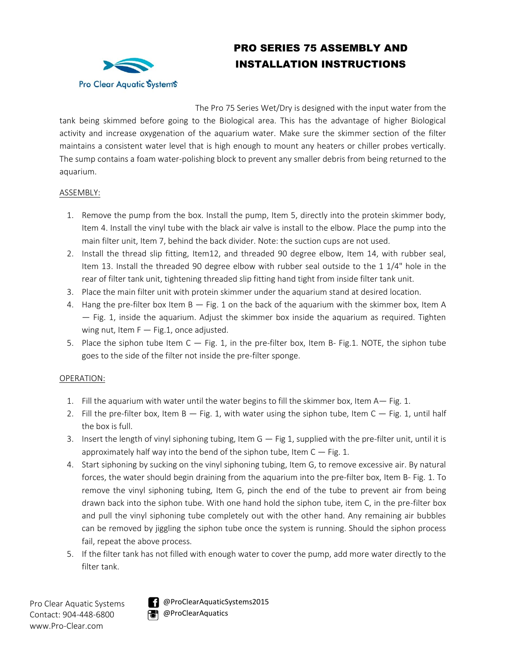

# PRO SERIES 75 ASSEMBLY AND INSTALLATION INSTRUCTIONS

The Pro 75 Series Wet/Dry is designed with the input water from the

tank being skimmed before going to the Biological area. This has the advantage of higher Biological activity and increase oxygenation of the aquarium water. Make sure the skimmer section of the filter maintains a consistent water level that is high enough to mount any heaters or chiller probes vertically. The sump contains a foam water-polishing block to prevent any smaller debris from being returned to the aquarium.

#### ASSEMBLY:

- 1. Remove the pump from the box. Install the pump, Item 5, directly into the protein skimmer body, Item 4. Install the vinyl tube with the black air valve is install to the elbow. Place the pump into the main filter unit, Item 7, behind the back divider. Note: the suction cups are not used.
- 2. Install the thread slip fitting, Item12, and threaded 90 degree elbow, Item 14, with rubber seal, Item 13. Install the threaded 90 degree elbow with rubber seal outside to the 1 1/4" hole in the rear of filter tank unit, tightening threaded slip fitting hand tight from inside filter tank unit.
- 3. Place the main filter unit with protein skimmer under the aquarium stand at desired location.
- 4. Hang the pre-filter box Item B Fig. 1 on the back of the aquarium with the skimmer box, Item A — Fig. 1, inside the aquarium. Adjust the skimmer box inside the aquarium as required. Tighten wing nut, Item  $F - Fig.1$ , once adjusted.
- 5. Place the siphon tube Item  $C Fig. 1$ , in the pre-filter box, Item B- Fig.1. NOTE, the siphon tube goes to the side of the filter not inside the pre-filter sponge.

#### OPERATION:

- 1. Fill the aquarium with water until the water begins to fill the skimmer box, Item A— Fig. 1.
- 2. Fill the pre-filter box, Item  $B Fig$ . 1, with water using the siphon tube, Item  $C Fig$ . 1, until half the box is full.
- 3. Insert the length of vinyl siphoning tubing, Item G Fig 1, supplied with the pre-filter unit, until it is approximately half way into the bend of the siphon tube, Item  $C - Fig. 1$ .
- 4. Start siphoning by sucking on the vinyl siphoning tubing, Item G, to remove excessive air. By natural forces, the water should begin draining from the aquarium into the pre-filter box, Item B- Fig. 1. To remove the vinyl siphoning tubing, Item G, pinch the end of the tube to prevent air from being drawn back into the siphon tube. With one hand hold the siphon tube, item C, in the pre-filter box and pull the vinyl siphoning tube completely out with the other hand. Any remaining air bubbles can be removed by jiggling the siphon tube once the system is running. Should the siphon process fail, repeat the above process.
- 5. If the filter tank has not filled with enough water to cover the pump, add more water directly to the filter tank.

Pro Clear Aquatic Systems Contact: 904-448-6800 www.Pro-Clear.com



**@ProClearAquaticSystems2015 POL** @ProClearAquatics